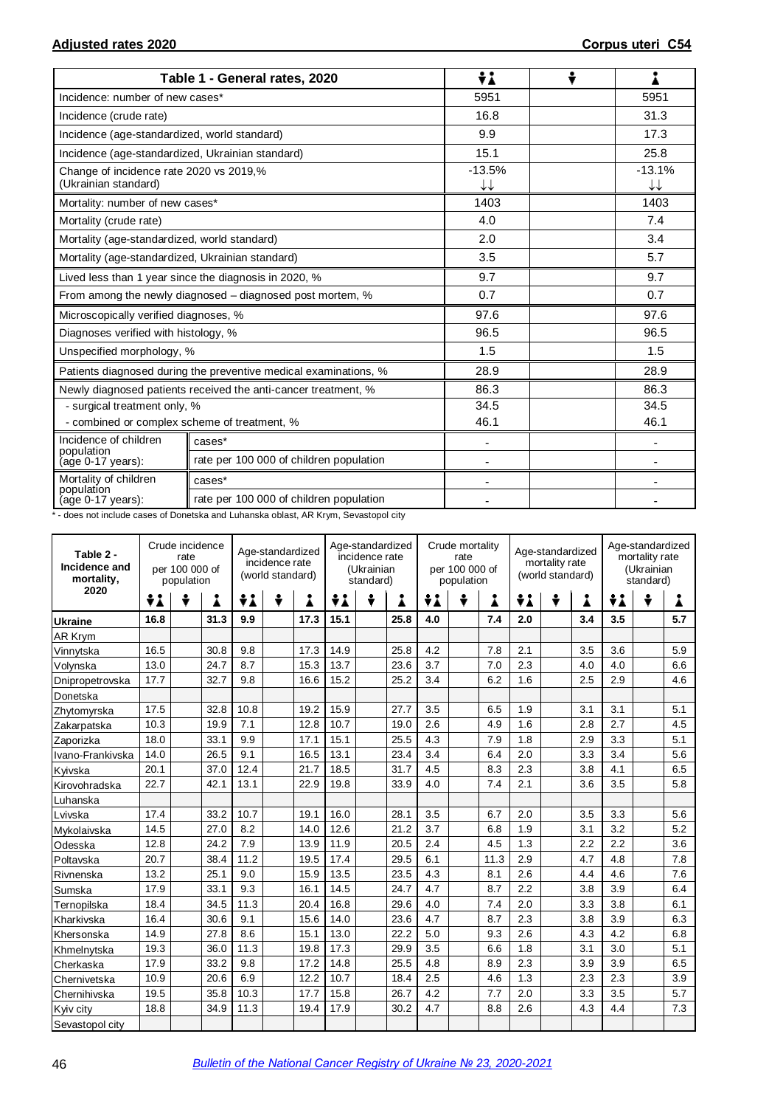|                                                                 | Table 1 - General rates, 2020                                    | ÷i                                 |                |
|-----------------------------------------------------------------|------------------------------------------------------------------|------------------------------------|----------------|
| Incidence: number of new cases*                                 |                                                                  | 5951                               | 5951           |
| Incidence (crude rate)                                          |                                                                  | 16.8                               | 31.3           |
| Incidence (age-standardized, world standard)                    |                                                                  | 9.9                                | 17.3           |
| Incidence (age-standardized, Ukrainian standard)                |                                                                  | 15.1                               | 25.8           |
| Change of incidence rate 2020 vs 2019,%<br>(Ukrainian standard) |                                                                  | $-13.5%$<br>$\downarrow\downarrow$ | $-13.1%$<br>↓↓ |
| Mortality: number of new cases*                                 |                                                                  | 1403                               | 1403           |
| Mortality (crude rate)                                          |                                                                  | 4.0                                | 7.4            |
| Mortality (age-standardized, world standard)                    |                                                                  | 2.0                                | 3.4            |
| Mortality (age-standardized, Ukrainian standard)                |                                                                  | 3.5                                | 5.7            |
|                                                                 | Lived less than 1 year since the diagnosis in 2020, %            | 9.7                                | 9.7            |
|                                                                 | From among the newly diagnosed - diagnosed post mortem, %        | 0.7                                | 0.7            |
| Microscopically verified diagnoses, %                           |                                                                  | 97.6                               | 97.6           |
| Diagnoses verified with histology, %                            |                                                                  | 96.5                               | 96.5           |
| Unspecified morphology, %                                       |                                                                  | 1.5                                | 1.5            |
|                                                                 | Patients diagnosed during the preventive medical examinations, % | 28.9                               | 28.9           |
|                                                                 | Newly diagnosed patients received the anti-cancer treatment, %   | 86.3                               | 86.3           |
| - surgical treatment only, %                                    |                                                                  | 34.5                               | 34.5           |
| - combined or complex scheme of treatment, %                    |                                                                  | 46.1                               | 46.1           |
| Incidence of children<br>population                             | cases*                                                           | $\blacksquare$                     |                |
| (age 0-17 years):                                               | rate per 100 000 of children population                          |                                    |                |
| Mortality of children<br>population                             | cases*                                                           |                                    |                |
| $(age 0-17 years):$                                             | rate per 100 000 of children population                          |                                    |                |

\* - does not include cases of Donetska and Luhanska oblast, AR Krym, Sevastopol city

| Table 2 -<br>Incidence and<br>mortality, | Crude incidence<br>Age-standardized<br>rate<br>incidence rate<br>per 100 000 of<br>(world standard)<br>population |   |      |      |   | Age-standardized<br>incidence rate<br>(Ukrainian<br>standard) |      |   | Crude mortality<br>rate<br>per 100 000 of<br>population |     |  | Age-standardized<br>mortality rate<br>(world standard) |     | Age-standardized<br>mortality rate<br>(Ukrainian<br>standard) |     |     |   |     |
|------------------------------------------|-------------------------------------------------------------------------------------------------------------------|---|------|------|---|---------------------------------------------------------------|------|---|---------------------------------------------------------|-----|--|--------------------------------------------------------|-----|---------------------------------------------------------------|-----|-----|---|-----|
| 2020                                     | ÷i                                                                                                                | ÷ | i    | ÷i   | ÷ | i                                                             | ÷i   | ÷ |                                                         | ÷i  |  | Å                                                      | ÷i  | ÷                                                             | i   | ÷i  | ÷ |     |
| <b>Ukraine</b>                           | 16.8                                                                                                              |   | 31.3 | 9.9  |   | 17.3                                                          | 15.1 |   | 25.8                                                    | 4.0 |  | 7.4                                                    | 2.0 |                                                               | 3.4 | 3.5 |   | 5.7 |
| <b>AR Krym</b>                           |                                                                                                                   |   |      |      |   |                                                               |      |   |                                                         |     |  |                                                        |     |                                                               |     |     |   |     |
| Vinnytska                                | 16.5                                                                                                              |   | 30.8 | 9.8  |   | 17.3                                                          | 14.9 |   | 25.8                                                    | 4.2 |  | 7.8                                                    | 2.1 |                                                               | 3.5 | 3.6 |   | 5.9 |
| Volynska                                 | 13.0                                                                                                              |   | 24.7 | 8.7  |   | 15.3                                                          | 13.7 |   | 23.6                                                    | 3.7 |  | 7.0                                                    | 2.3 |                                                               | 4.0 | 4.0 |   | 6.6 |
| Dnipropetrovska                          | 17.7                                                                                                              |   | 32.7 | 9.8  |   | 16.6                                                          | 15.2 |   | 25.2                                                    | 3.4 |  | 6.2                                                    | 1.6 |                                                               | 2.5 | 2.9 |   | 4.6 |
| Donetska                                 |                                                                                                                   |   |      |      |   |                                                               |      |   |                                                         |     |  |                                                        |     |                                                               |     |     |   |     |
| Zhytomyrska                              | 17.5                                                                                                              |   | 32.8 | 10.8 |   | 19.2                                                          | 15.9 |   | 27.7                                                    | 3.5 |  | 6.5                                                    | 1.9 |                                                               | 3.1 | 3.1 |   | 5.1 |
| Zakarpatska                              | 10.3                                                                                                              |   | 19.9 | 7.1  |   | 12.8                                                          | 10.7 |   | 19.0                                                    | 2.6 |  | 4.9                                                    | 1.6 |                                                               | 2.8 | 2.7 |   | 4.5 |
| Zaporizka                                | 18.0                                                                                                              |   | 33.1 | 9.9  |   | 17.1                                                          | 15.1 |   | 25.5                                                    | 4.3 |  | 7.9                                                    | 1.8 |                                                               | 2.9 | 3.3 |   | 5.1 |
| Ivano-Frankivska                         | 14.0                                                                                                              |   | 26.5 | 9.1  |   | 16.5                                                          | 13.1 |   | 23.4                                                    | 3.4 |  | 6.4                                                    | 2.0 |                                                               | 3.3 | 3.4 |   | 5.6 |
| Kyivska                                  | 20.1                                                                                                              |   | 37.0 | 12.4 |   | 21.7                                                          | 18.5 |   | 31.7                                                    | 4.5 |  | 8.3                                                    | 2.3 |                                                               | 3.8 | 4.1 |   | 6.5 |
| Kirovohradska                            | 22.7                                                                                                              |   | 42.1 | 13.1 |   | 22.9                                                          | 19.8 |   | 33.9                                                    | 4.0 |  | 7.4                                                    | 2.1 |                                                               | 3.6 | 3.5 |   | 5.8 |
| Luhanska                                 |                                                                                                                   |   |      |      |   |                                                               |      |   |                                                         |     |  |                                                        |     |                                                               |     |     |   |     |
| Lvivska                                  | 17.4                                                                                                              |   | 33.2 | 10.7 |   | 19.1                                                          | 16.0 |   | 28.1                                                    | 3.5 |  | 6.7                                                    | 2.0 |                                                               | 3.5 | 3.3 |   | 5.6 |
| Mykolaivska                              | 14.5                                                                                                              |   | 27.0 | 8.2  |   | 14.0                                                          | 12.6 |   | 21.2                                                    | 3.7 |  | 6.8                                                    | 1.9 |                                                               | 3.1 | 3.2 |   | 5.2 |
| Odesska                                  | 12.8                                                                                                              |   | 24.2 | 7.9  |   | 13.9                                                          | 11.9 |   | 20.5                                                    | 2.4 |  | 4.5                                                    | 1.3 |                                                               | 2.2 | 2.2 |   | 3.6 |
| Poltavska                                | 20.7                                                                                                              |   | 38.4 | 11.2 |   | 19.5                                                          | 17.4 |   | 29.5                                                    | 6.1 |  | 11.3                                                   | 2.9 |                                                               | 4.7 | 4.8 |   | 7.8 |
| Rivnenska                                | 13.2                                                                                                              |   | 25.1 | 9.0  |   | 15.9                                                          | 13.5 |   | 23.5                                                    | 4.3 |  | 8.1                                                    | 2.6 |                                                               | 4.4 | 4.6 |   | 7.6 |
| Sumska                                   | 17.9                                                                                                              |   | 33.1 | 9.3  |   | 16.1                                                          | 14.5 |   | 24.7                                                    | 4.7 |  | 8.7                                                    | 2.2 |                                                               | 3.8 | 3.9 |   | 6.4 |
| Ternopilska                              | 18.4                                                                                                              |   | 34.5 | 11.3 |   | 20.4                                                          | 16.8 |   | 29.6                                                    | 4.0 |  | 7.4                                                    | 2.0 |                                                               | 3.3 | 3.8 |   | 6.1 |
| Kharkivska                               | 16.4                                                                                                              |   | 30.6 | 9.1  |   | 15.6                                                          | 14.0 |   | 23.6                                                    | 4.7 |  | 8.7                                                    | 2.3 |                                                               | 3.8 | 3.9 |   | 6.3 |
| Khersonska                               | 14.9                                                                                                              |   | 27.8 | 8.6  |   | 15.1                                                          | 13.0 |   | 22.2                                                    | 5.0 |  | 9.3                                                    | 2.6 |                                                               | 4.3 | 4.2 |   | 6.8 |
| Khmelnytska                              | 19.3                                                                                                              |   | 36.0 | 11.3 |   | 19.8                                                          | 17.3 |   | 29.9                                                    | 3.5 |  | 6.6                                                    | 1.8 |                                                               | 3.1 | 3.0 |   | 5.1 |
| Cherkaska                                | 17.9                                                                                                              |   | 33.2 | 9.8  |   | 17.2                                                          | 14.8 |   | 25.5                                                    | 4.8 |  | 8.9                                                    | 2.3 |                                                               | 3.9 | 3.9 |   | 6.5 |
| Chernivetska                             | 10.9                                                                                                              |   | 20.6 | 6.9  |   | 12.2                                                          | 10.7 |   | 18.4                                                    | 2.5 |  | 4.6                                                    | 1.3 |                                                               | 2.3 | 2.3 |   | 3.9 |
| Chernihivska                             | 19.5                                                                                                              |   | 35.8 | 10.3 |   | 17.7                                                          | 15.8 |   | 26.7                                                    | 4.2 |  | 7.7                                                    | 2.0 |                                                               | 3.3 | 3.5 |   | 5.7 |
| Kyiv city                                | 18.8                                                                                                              |   | 34.9 | 11.3 |   | 19.4                                                          | 17.9 |   | 30.2                                                    | 4.7 |  | 8.8                                                    | 2.6 |                                                               | 4.3 | 4.4 |   | 7.3 |
| Sevastopol city                          |                                                                                                                   |   |      |      |   |                                                               |      |   |                                                         |     |  |                                                        |     |                                                               |     |     |   |     |